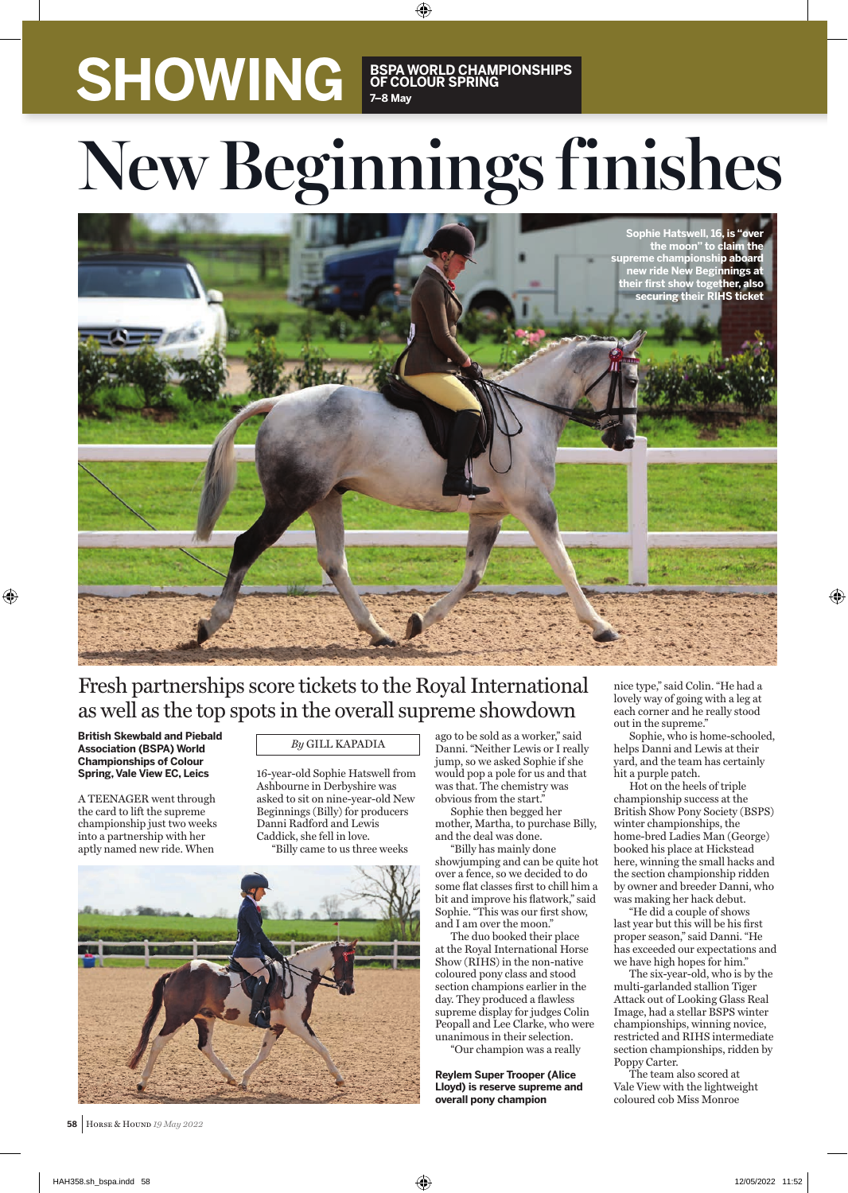# SHOWING **BSPA WORLD CHAMPIONSHIPS OF COLOUR SPRING 7–8 May**

# New Beginnings finishes

⊕



## Fresh partnerships score tickets to the Royal International as well as the top spots in the overall supreme showdown

**British Skewbald and Piebald Association (BSPA) World Championships of Colour Spring, Vale View EC, Leics** 

⊕

A TEENAGER went through the card to lift the supreme championship just two weeks into a partnership with her aptly named new ride. When

### *By* GILL KAPADIA

16-year-old Sophie Hatswell from Ashbourne in Derbyshire was asked to sit on nine-year-old New Beginnings (Billy) for producers Danni Radford and Lewis Caddick, she fell in love. "Billy came to us three weeks



 **58** HORSE & HOUND *19 May 2022*

ago to be sold as a worker," said Danni. "Neither Lewis or I really jump, so we asked Sophie if she would pop a pole for us and that was that. The chemistry was obvious from the start.

Sophie then begged her mother, Martha, to purchase Billy, and the deal was done.

"Billy has mainly done showjumping and can be quite hot over a fence, so we decided to do some flat classes first to chill him a bit and improve his flatwork," said Sophie. "This was our first show, and I am over the moon."

The duo booked their place at the Royal International Horse Show (RIHS) in the non-native coloured pony class and stood section champions earlier in the day. They produced a flawless supreme display for judges Colin Peopall and Lee Clarke, who were unanimous in their selection.

"Our champion was a really

**Reylem Super Trooper (Alice Lloyd) is reserve supreme and overall pony champion**

nice type," said Colin. "He had a lovely way of going with a leg at each corner and he really stood out in the supreme."

⊕

Sophie, who is home-schooled, helps Danni and Lewis at their yard, and the team has certainly hit a purple patch.

Hot on the heels of triple championship success at the British Show Pony Society (BSPS) winter championships, the home-bred Ladies Man (George) booked his place at Hickstead here, winning the small hacks and the section championship ridden by owner and breeder Danni, who was making her hack debut.

"He did a couple of shows last year but this will be his first proper season," said Danni. "He has exceeded our expectations and we have high hopes for him."

The six-year-old, who is by the multi-garlanded stallion Tiger Attack out of Looking Glass Real Image, had a stellar BSPS winter championships, winning novice, restricted and RIHS intermediate section championships, ridden by Poppy Carter.

The team also scored at Vale View with the lightweight coloured cob Miss Monroe